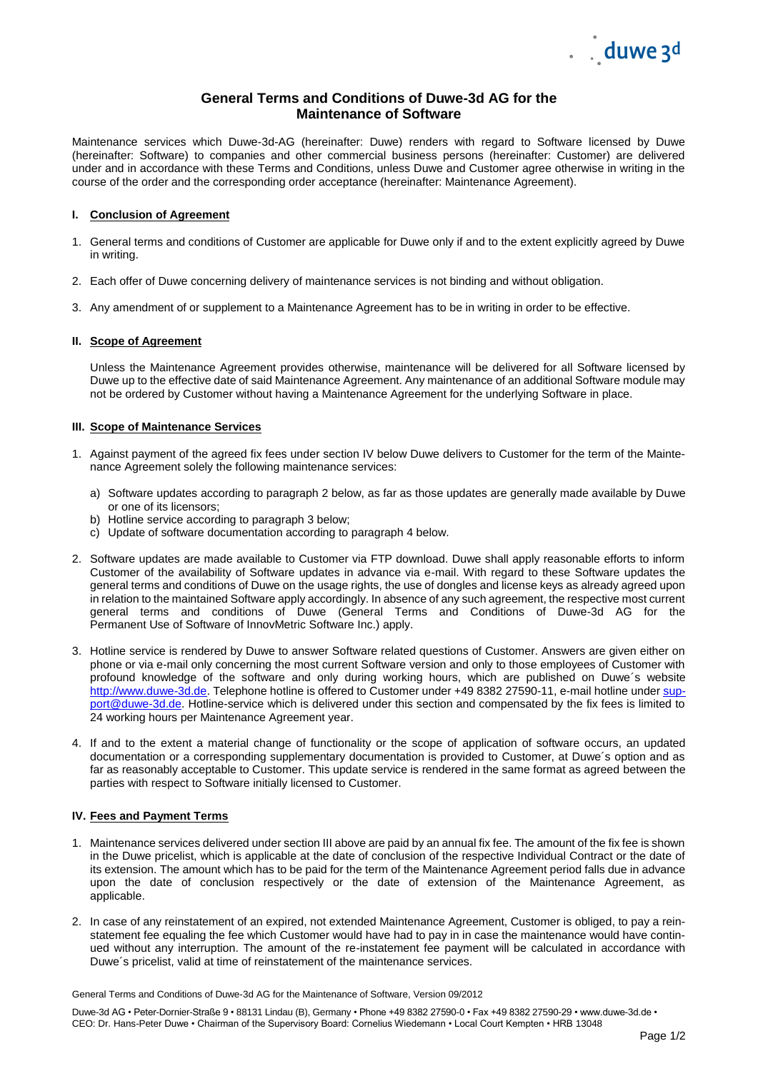

# **General Terms and Conditions of Duwe-3d AG for the Maintenance of Software**

Maintenance services which Duwe-3d-AG (hereinafter: Duwe) renders with regard to Software licensed by Duwe (hereinafter: Software) to companies and other commercial business persons (hereinafter: Customer) are delivered under and in accordance with these Terms and Conditions, unless Duwe and Customer agree otherwise in writing in the course of the order and the corresponding order acceptance (hereinafter: Maintenance Agreement).

# **I. Conclusion of Agreement**

- 1. General terms and conditions of Customer are applicable for Duwe only if and to the extent explicitly agreed by Duwe in writing.
- 2. Each offer of Duwe concerning delivery of maintenance services is not binding and without obligation.
- 3. Any amendment of or supplement to a Maintenance Agreement has to be in writing in order to be effective.

# **II. Scope of Agreement**

Unless the Maintenance Agreement provides otherwise, maintenance will be delivered for all Software licensed by Duwe up to the effective date of said Maintenance Agreement. Any maintenance of an additional Software module may not be ordered by Customer without having a Maintenance Agreement for the underlying Software in place.

# **III. Scope of Maintenance Services**

- 1. Against payment of the agreed fix fees under section IV below Duwe delivers to Customer for the term of the Maintenance Agreement solely the following maintenance services:
	- a) Software updates according to paragraph 2 below, as far as those updates are generally made available by Duwe or one of its licensors;
	- b) Hotline service according to paragraph 3 below;
	- c) Update of software documentation according to paragraph 4 below.
- 2. Software updates are made available to Customer via FTP download. Duwe shall apply reasonable efforts to inform Customer of the availability of Software updates in advance via e-mail. With regard to these Software updates the general terms and conditions of Duwe on the usage rights, the use of dongles and license keys as already agreed upon in relation to the maintained Software apply accordingly. In absence of any such agreement, the respective most current general terms and conditions of Duwe (General Terms and Conditions of Duwe-3d AG for the Permanent Use of Software of InnovMetric Software Inc.) apply.
- 3. Hotline service is rendered by Duwe to answer Software related questions of Customer. Answers are given either on phone or via e-mail only concerning the most current Software version and only to those employees of Customer with profound knowledge of the software and only during working hours, which are published on Duwe´s website [http://www.duwe-3d.de.](http://www.duwe-3d.de/) Telephone hotline is offered to Customer under +49 8382 27590-11, e-mail hotline under [sup](mailto:support@duwe-3d.de)[port@duwe-3d.de.](mailto:support@duwe-3d.de) Hotline-service which is delivered under this section and compensated by the fix fees is limited to 24 working hours per Maintenance Agreement year.
- 4. If and to the extent a material change of functionality or the scope of application of software occurs, an updated documentation or a corresponding supplementary documentation is provided to Customer, at Duwe´s option and as far as reasonably acceptable to Customer. This update service is rendered in the same format as agreed between the parties with respect to Software initially licensed to Customer.

## **IV. Fees and Payment Terms**

- 1. Maintenance services delivered under section III above are paid by an annual fix fee. The amount of the fix fee is shown in the Duwe pricelist, which is applicable at the date of conclusion of the respective Individual Contract or the date of its extension. The amount which has to be paid for the term of the Maintenance Agreement period falls due in advance upon the date of conclusion respectively or the date of extension of the Maintenance Agreement, as applicable.
- 2. In case of any reinstatement of an expired, not extended Maintenance Agreement, Customer is obliged, to pay a reinstatement fee equaling the fee which Customer would have had to pay in in case the maintenance would have continued without any interruption. The amount of the re-instatement fee payment will be calculated in accordance with Duwe´s pricelist, valid at time of reinstatement of the maintenance services.

General Terms and Conditions of Duwe-3d AG for the Maintenance of Software, Version 09/2012

Duwe-3d AG • Peter-Dornier-Straße 9 • 88131 Lindau (B), Germany • Phone +49 8382 27590-0 • Fax +49 8382 27590-29 • www.duwe-3d.de • CEO: Dr. Hans-Peter Duwe • Chairman of the Supervisory Board: Cornelius Wiedemann • Local Court Kempten • HRB 13048